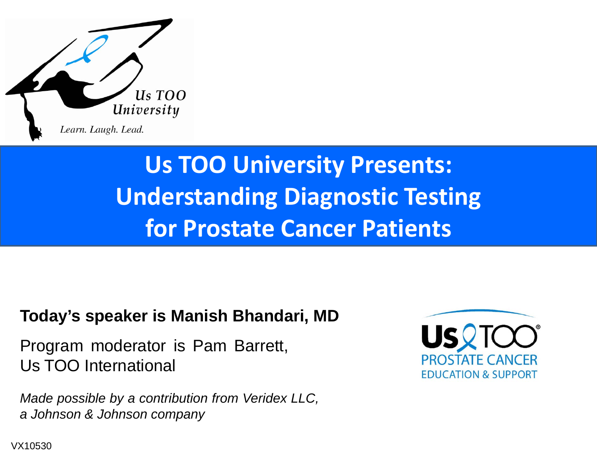

### **Us TOO University Presents: Understanding Diagnostic Testing for Prostate Cancer Patients**

#### **Today's speaker is Manish Bhandari, MD**

Program moderator is Pam Barrett, Us TOO International

*Made possible by <sup>a</sup> contribution from Veridex LLC, <sup>a</sup> Johnson & Johnson company*



VX10530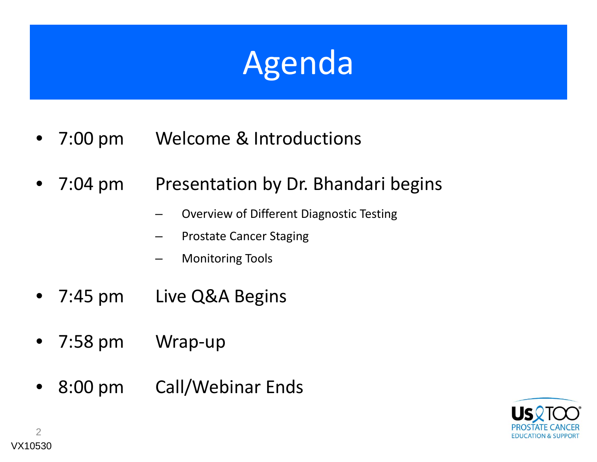## Agenda

- • 7:00Welcome & Introductions
- $\bullet$  7:04Presentation by Dr. Bhandari begins
	- –Overview of Different Diagnostic Testing
	- –Prostate Cancer Staging
	- –Monitoring Tools
- $\bullet$  7:45Live Q&A Begins
- • 7:58Wrap-up
- $\bullet$  8:00Call/Webinar Ends

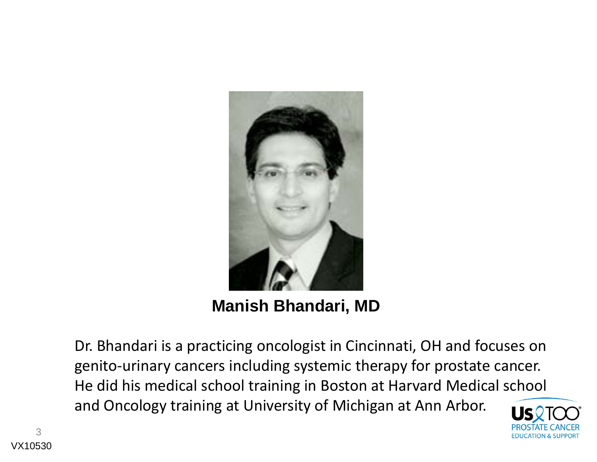

**Manish Bhandari, MD** 

Dr. Bhandari is a practicing oncologist in Cincinnati, OH and focuses on genito-urinary cancers including systemic therapy for prostate cancer. He did his medical school training in Boston at Harvard Medical school and Oncology training at University of Michigan at Ann Arbor.

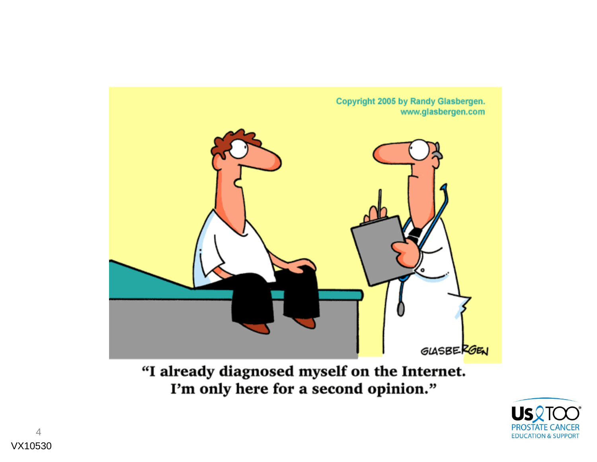

"I already diagnosed myself on the Internet. I'm only here for a second opinion."

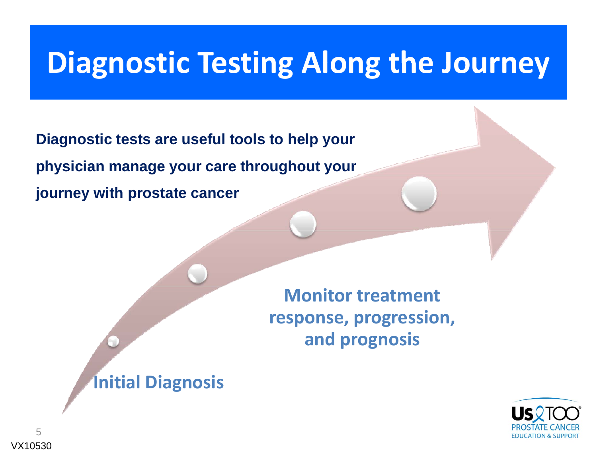### **Diagnostic Testing Along the Journey**

**Diagnostic tests are useful tools to help your physician manage your care throughout your journey with prostate cancer**

> **Monitor treatmentresponse, progression, and prognosis**

**Initial Diagnosis**

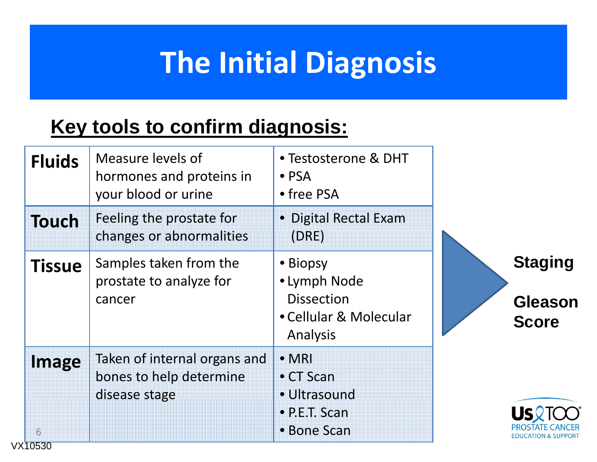### **The Initial Diagnosis**

### **Key tools to confirm diagnosis:**

| <b>Fluids</b>         | Measure levels of<br>hormones and proteins in<br>your blood or urine     | • Testosterone & DHT<br>$\bullet$ PSA<br>• free PSA                                 |                                                  |
|-----------------------|--------------------------------------------------------------------------|-------------------------------------------------------------------------------------|--------------------------------------------------|
| <b>Touch</b>          | Feeling the prostate for<br>changes or abnormalities                     | • Digital Rectal Exam<br>(DRE)                                                      |                                                  |
| <b>Tissue</b>         | Samples taken from the<br>prostate to analyze for<br>cancer              | • Biopsy<br>· Lymph Node<br><b>Dissection</b><br>• Cellular & Molecular<br>Analysis | <b>Staging</b><br><b>Gleason</b><br><b>Score</b> |
| Image<br>6<br>VX10530 | Taken of internal organs and<br>bones to help determine<br>disease stage | $\bullet$ MRI<br>$\bullet$ CT Scan<br>• Ultrasound<br>• P.E.T. Scan<br>• Bone Scan  | DUCATION & SUPPORT                               |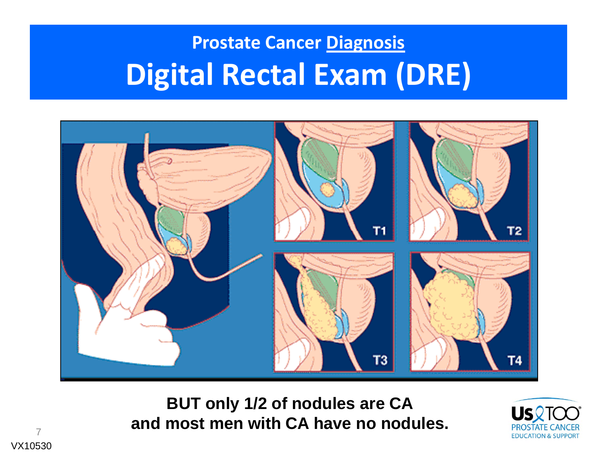### **Prostate Cancer Diagnosis Digital Rectal Exam (DRE)**



**BUT l 1/2 f d l CA** and most men with CA have no nodules.



7VX10530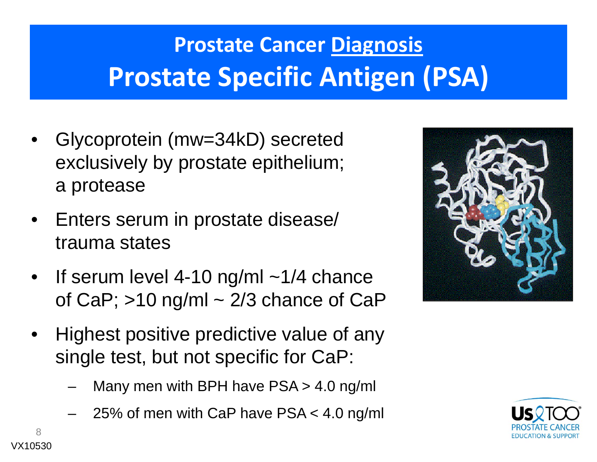### **Prostate Cancer Diagnosis Prostate Specific Antigen (PSA)**

- • Glycoprotein (mw=34kD) secreted exclusively by prostate epithelium; a protease
- • Enters serum in prostate disease/ trauma states
- •If serum level 4-10 ng/ml  $\sim$ 1/4 chance of CaP;  $>10$  ng/ml  $\sim$  2/3 chance of CaP
- •Highest positive predictive value of any single test, but not specific for CaP:
	- Many men with BPH have PSA > 4.0 ng/ml
	- 25% of men with CaP have PSA < 4.0 ng/ml



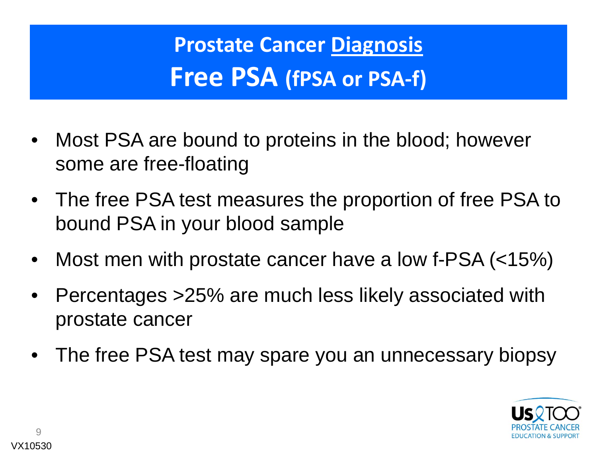**Prostate Cancer Diagnosis Free PSA (fPSA or PSA‐f)**

- $\bullet$  Most PSA are bound to proteins in the blood; however some are free-floating
- • The free PSA test measures the proportion of free PSA to bound PSA in your blood sample
- $\bullet$ Most men with prostate cancer have a low f-PSA (<15%)
- • Percentages >25% are much less likely associated with prostate cancer
- $\bullet$ The free PSA test may spare you an unnecessary biopsy

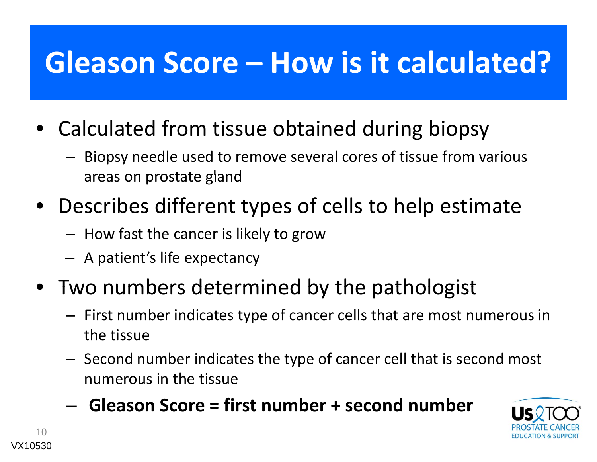### **Gleason Score – How is it calculated?**

- Calculated from tissue obtained during biopsy
	- Biopsy needle used to remove several cores of tissue from various areas on prostate gland
- Describes different types of cells to help estimate
	- $-$  How fast the cancer is likely to grow
	- A patient's life expectancy
- Two numbers determined by the pathologist
	- $-$  First number indicates type of cancer cells that are most numerous in the tissue
	- $-$  Second number indicates the type of cancer cell that is second most numerous in the tissue
	- **l fi b d b Gleason Score <sup>=</sup> first number <sup>+</sup> second number** –

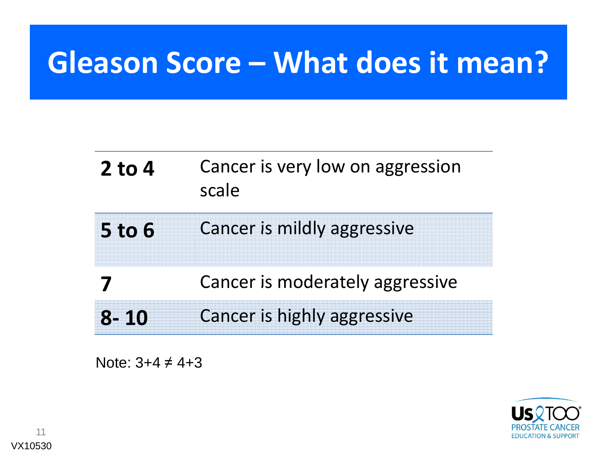### **Gleason Score – What does it mean?**

| $2$ to 4      | Cancer is very low on aggression<br>scale |
|---------------|-------------------------------------------|
| <b>5 to 6</b> | Cancer is mildly aggressive               |
|               | Cancer is moderately aggressive           |
| 8-10          | <b>Cancer is highly aggressive</b>        |

Note:  $3+4 \neq 4+3$ 



11VX10530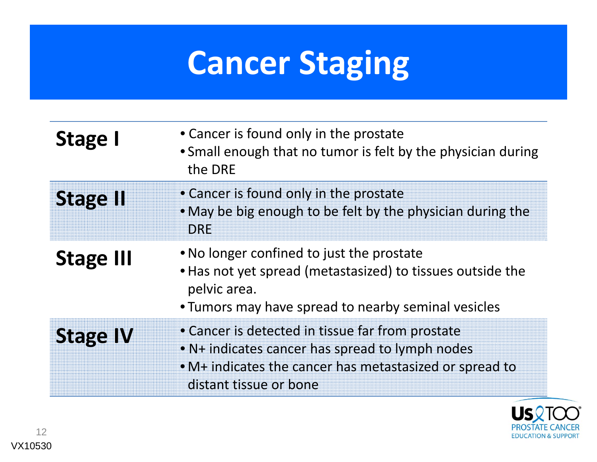## **Cancer Staging**

| Stage I          | • Cancer is found only in the prostate<br>• Small enough that no tumor is felt by the physician during<br>the DRE                                                                        |
|------------------|------------------------------------------------------------------------------------------------------------------------------------------------------------------------------------------|
| <b>Stage II</b>  | • Cancer is found only in the prostate<br>• May be big enough to be felt by the physician during the<br><b>DRE</b>                                                                       |
| <b>Stage III</b> | • No longer confined to just the prostate<br>• Has not yet spread (metastasized) to tissues outside the<br>pelvic area.<br>• Tumors may have spread to nearby seminal vesicles           |
| <b>Stage IV</b>  | • Cancer is detected in tissue far from prostate<br>• N+ indicates cancer has spread to lymph nodes<br>• M+ indicates the cancer has metastasized or spread to<br>distant tissue or bone |

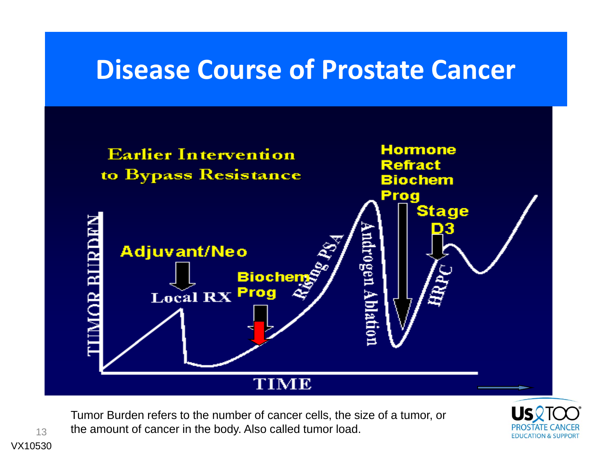### **Disease Course of Prostate Cancer**



Tumor Burden refers to the number of cancer cells, the size of a tumor, or the amount of cancer in the body. Also called tumor load.



VX10530

13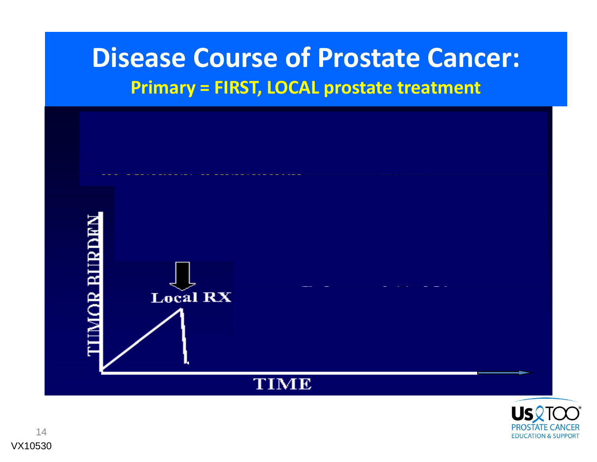### **Disease Course of Prostate Cancer: Primary <sup>=</sup> FIRST, LOCAL prostate treatment**



![](_page_13_Picture_2.jpeg)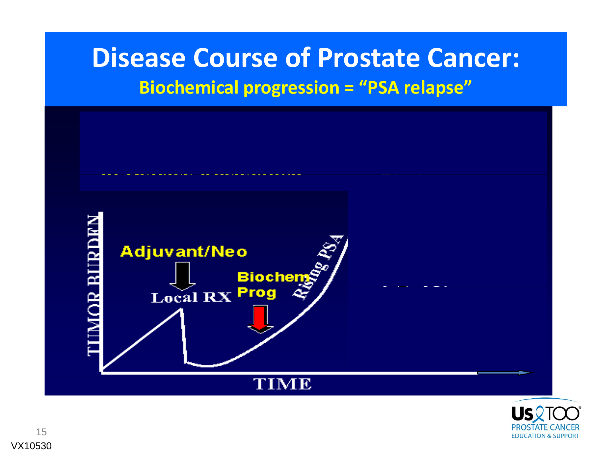### **Disease Course of Prostate Cancer: Biochemical progression <sup>=</sup> "PSA relapse"**

![](_page_14_Figure_1.jpeg)

![](_page_14_Picture_2.jpeg)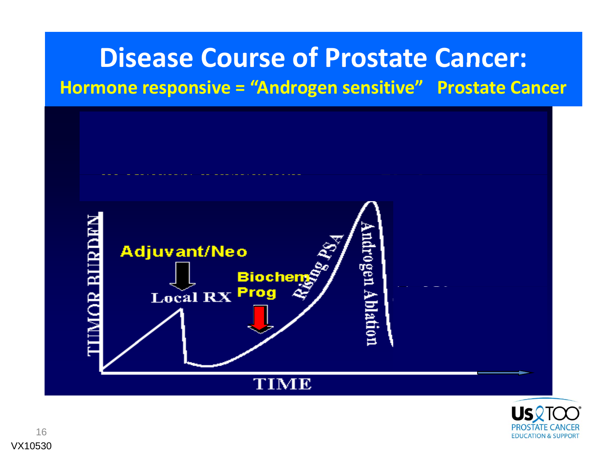### **Disease Course of Prostate Cancer: Hormone responsive <sup>=</sup> "Androgen sensitive" Prostate Cancer**

![](_page_15_Figure_1.jpeg)

![](_page_15_Picture_2.jpeg)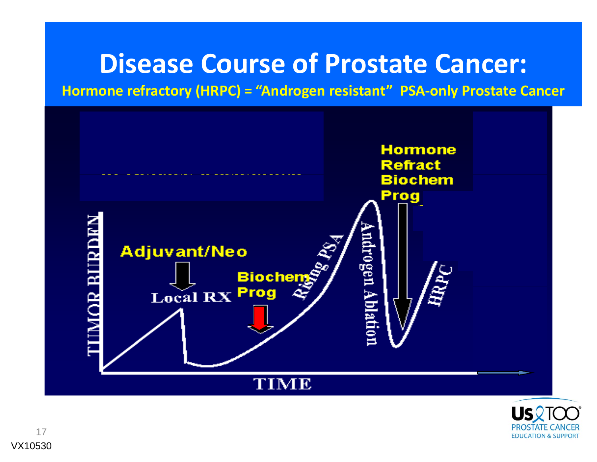### **Disease Course of Prostate Cancer:**

**Hormone refractory (HRPC) <sup>=</sup> "Androgen resistant" PSA‐only Prostate Cancer**

![](_page_16_Figure_2.jpeg)

![](_page_16_Picture_3.jpeg)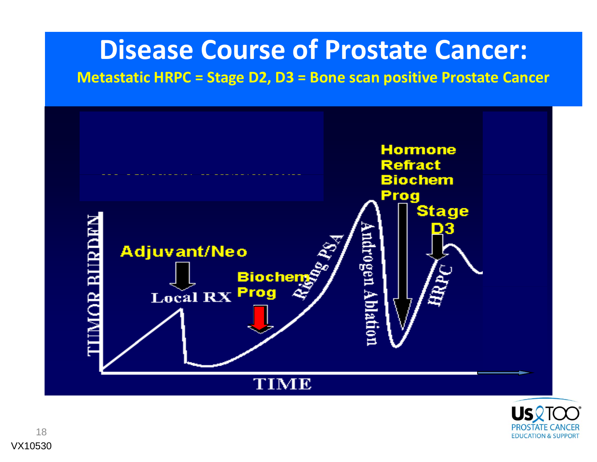### **Disease Course of Prostate Cancer:**

**Metastatic HRPC <sup>=</sup> Stage D2, D3 <sup>=</sup> Bone scan positive Prostate Cancer**

![](_page_17_Figure_2.jpeg)

![](_page_17_Picture_3.jpeg)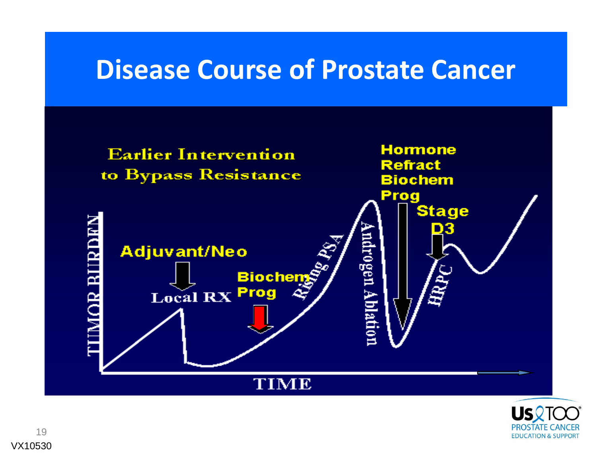### **Disease Course of Prostate Cancer**

![](_page_18_Figure_1.jpeg)

![](_page_18_Picture_2.jpeg)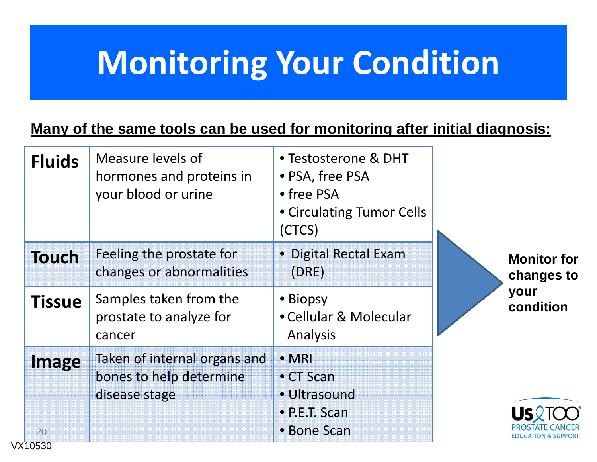## **Monitoring Your Condition**

#### **Many of the same tools can be used for monitoring after initial diagnosis:**

| <b>Fluids</b>          | Measure levels of<br>hormones and proteins in<br>your blood or urine     | • Testosterone & DHT<br>• PSA, free PSA<br>• free PSA<br>• Circulating Tumor Cells |                                                       |
|------------------------|--------------------------------------------------------------------------|------------------------------------------------------------------------------------|-------------------------------------------------------|
| <b>Touch</b>           | Feeling the prostate for<br>changes or abnormalities                     | (CTCS)<br>• Digital Rectal Exam<br>(DRE)                                           | <b>Monitor for</b><br>changes to<br>your<br>condition |
| <b>Tissue</b>          | Samples taken from the<br>prostate to analyze for<br>cancer              | • Biopsy<br>• Cellular & Molecular<br>Analysis                                     |                                                       |
| Image<br>20<br>VX10530 | Taken of internal organs and<br>bones to help determine<br>disease stage | $\bullet$ MRI<br>$\bullet$ CT Scan<br>· Ultrasound<br>• P.E.T. Scan<br>• Bone Scan | DUCATION & SUPPORT                                    |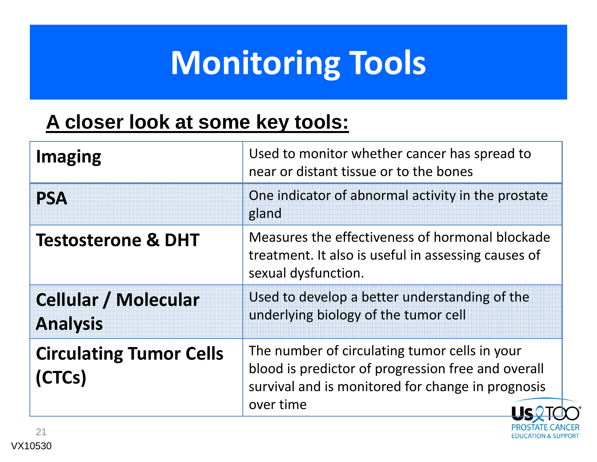# **Monitoring Tools**

### **A closer look at some key tools:**

| <b>Imaging</b>                                 | Used to monitor whether cancer has spread to<br>near or distant tissue or to the bones                                                                                |
|------------------------------------------------|-----------------------------------------------------------------------------------------------------------------------------------------------------------------------|
| <b>PSA</b>                                     | One indicator of abnormal activity in the prostate<br>gland                                                                                                           |
| <b>Testosterone &amp; DHT</b>                  | Measures the effectiveness of hormonal blockade<br>treatment. It also is useful in assessing causes of<br>sexual dysfunction.                                         |
| <b>Cellular / Molecular</b><br><b>Analysis</b> | Used to develop a better understanding of the<br>underlying biology of the tumor cell                                                                                 |
| <b>Circulating Tumor Cells</b><br>(CTCs)       | The number of circulating tumor cells in your<br>blood is predictor of progression free and overall<br>survival and is monitored for change in prognosis<br>over time |

**PROSTATE** 

**EDUCATION & SUPPORT**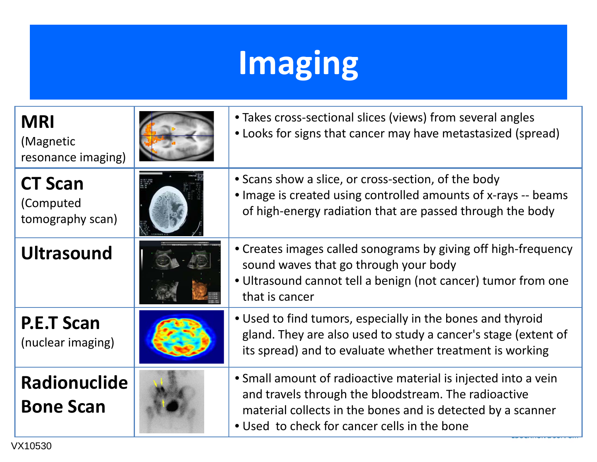# **Imaging**

| <b>MRI</b><br>(Magnetic<br>resonance imaging)   | • Takes cross-sectional slices (views) from several angles<br>• Looks for signs that cancer may have metastasized (spread)                                                                                                            |
|-------------------------------------------------|---------------------------------------------------------------------------------------------------------------------------------------------------------------------------------------------------------------------------------------|
| <b>CT Scan</b><br>(Computed<br>tomography scan) | • Scans show a slice, or cross-section, of the body<br>• Image is created using controlled amounts of x-rays -- beams<br>of high-energy radiation that are passed through the body                                                    |
| <b>Ultrasound</b>                               | • Creates images called sonograms by giving off high-frequency<br>sound waves that go through your body<br>• Ultrasound cannot tell a benign (not cancer) tumor from one<br>that is cancer                                            |
| <b>P.E.T Scan</b><br>(nuclear imaging)          | • Used to find tumors, especially in the bones and thyroid<br>gland. They are also used to study a cancer's stage (extent of<br>its spread) and to evaluate whether treatment is working                                              |
| <b>Radionuclide</b><br><b>Bone Scan</b>         | • Small amount of radioactive material is injected into a vein<br>and travels through the bloodstream. The radioactive<br>material collects in the bones and is detected by a scanner<br>• Used to check for cancer cells in the bone |

VX10530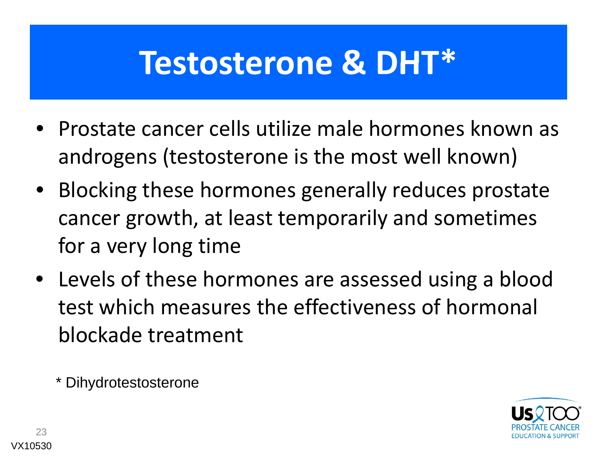### **Testosterone & DHT\***

- Prostate cancer cells utilize male hormones known as androgens (testosterone is the most well known)
- Blocking these hormones generally reduces prostate cancer growth, at least temporarily and sometimes for a very long time
- Levels of these hormones are assessed using a blood test which measures the effectiveness of hormonal blockade treatment

\* Dihydrotestosterone

![](_page_22_Picture_5.jpeg)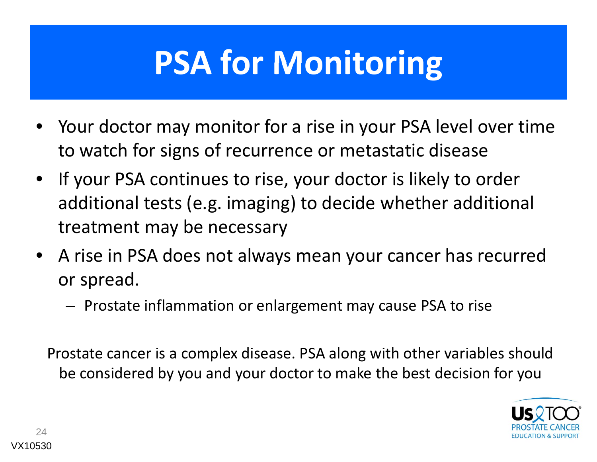# **PSA for Monitoring**

- Your doctor may monitor for <sup>a</sup> rise in your PSA level over time to watch for signs of recurrence or metastatic disease
- $\bullet$  If your PSA continues to rise, your doctor is likely to order additional tests (e.g. imaging) to decide whether additional treatment may be necessary
- A rise in PSA does not always mean your cancer has recurred or spread.
	- $-$  Prostate inflammation or enlargement may cause PSA to rise

Prostate cancer is <sup>a</sup> complex disease. PSA along with other variables should be considered by you and your doctor to make the best decision for you

![](_page_23_Picture_6.jpeg)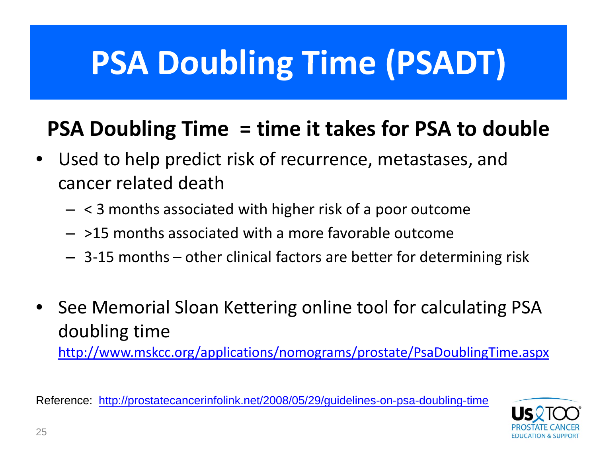# **PSA Doubling Time (PSADT) (PSADT)**

### **PSA Doubling Time <sup>=</sup> time it takes for PSA to double**

- $\bullet$  Used to help predict risk of recurrence, metastases, and cancer related death
	- $\, <$  3 months associated with higher risk of a poor outcome
	- >15 months associated with <sup>a</sup> more favorable outcome
	- 3‐15 months other clinical factors are better for determining risk
- •**•** See Memorial Sloan Kettering online tool for calculating PSA doubling time

http://www.mskcc.org/applications/nomograms/prostate/PsaDoublingTime.aspx

Reference: <u>http://prostatecancerinfolink.net/2008/05/29/guidelines-on-psa-doubling-time</u>

![](_page_24_Picture_9.jpeg)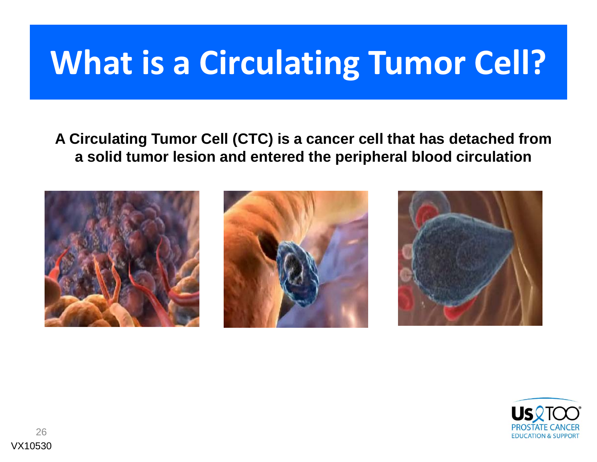## **What is a Circulating Tumor Cell?**

#### **A Circulating Tumor Cell (CTC) is a cancer cell that has detached from a solid tumor lesion and entered the peripheral blood circulation**

![](_page_25_Picture_2.jpeg)

![](_page_25_Picture_3.jpeg)

![](_page_25_Picture_4.jpeg)

![](_page_25_Picture_5.jpeg)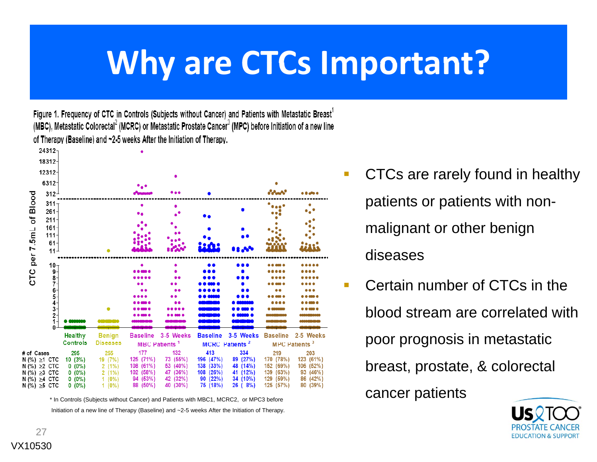## **Why are CTCs Important?**

Figure 1. Frequency of CTC in Controls (Subjects without Cancer) and Patients with Metastatic Breast<sup>1</sup> (MBC), Metastatic Colorectal<sup>2</sup> (MCRC) or Metastatic Prostate Cancer<sup>3</sup> (MPC) before Initiation of a new line of Therapy (Baseline) and ~2-5 weeks After the Initiation of Therapy.

![](_page_26_Figure_2.jpeg)

\* In Controls (Subjects without Cancer) and Patients with MBC1, MCRC2, or MPC3 before Initiation of a new line of Therapy (Baseline) and ~2-5 weeks After the Initiation of Therapy.

- CTCs are rarely found in healthy patients or patients with nonmalignant or other benign diseases
- П Certain number of CTCs in the blood stream are correlated with poor prognosis in metastatic breast, prostate, & colorectal cancer patients p

![](_page_26_Picture_6.jpeg)

27VX10530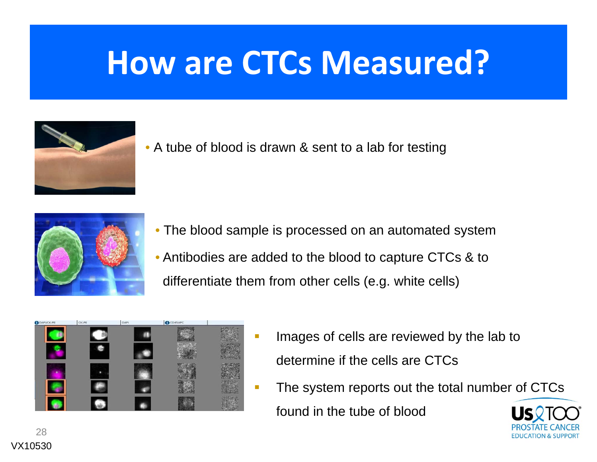## **How are CTCs Measured?**

![](_page_27_Picture_1.jpeg)

• A tube of blood is drawn & sent to a lab for testing

![](_page_27_Picture_3.jpeg)

- The blood sample is processed on an automated system
- Antibodies are added to the blood to capture CTCs & to differentiate them from other cells (e.g. white cells)

![](_page_27_Picture_6.jpeg)

- m from other cells (e.g. white cells)<br>- Images of cells are reviewed by the lab to determine if the cells are CTCs
	- The system reports out the total number of CTCs found in the tube of blood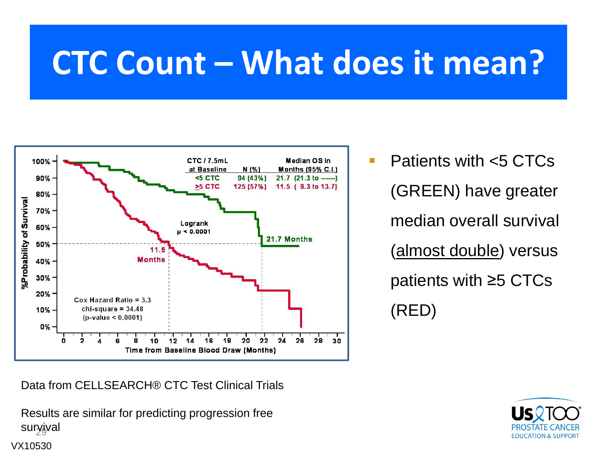## **CTC Count – What does it mean?**

![](_page_28_Figure_1.jpeg)

Data from CELLSEARCH® CTC Test Clinical Trials

suryjval Results are similar for predicting progression free

VX10530

 $\mathcal{L}_{\mathcal{A}}$  Patients with <5 CTCs (GREEN) have greater median overall survival (almost double) versus patients with ≥5 CTCs (RED)

![](_page_28_Picture_5.jpeg)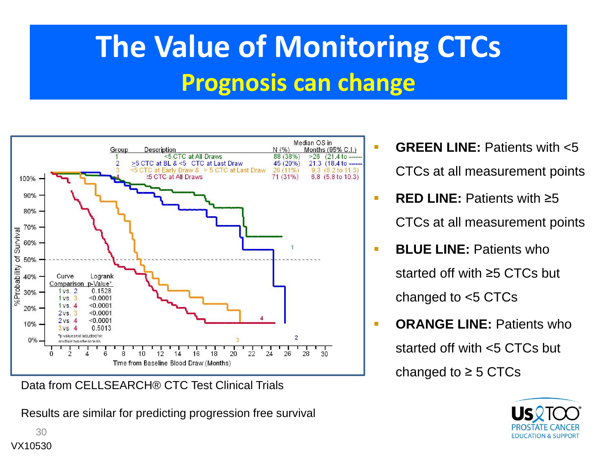### **The Value of Monitoring CTCs Prognosis can change**

m.

![](_page_29_Figure_1.jpeg)

Data from CELLSEARCH® CTC Test Clinical Trials

Results are similar for predicting progression free survival

- **GREEN LINE:** Patients with <5 CTCs at all measurement points
- $\blacksquare$  **RED LINE:** Patients with ≥5 CTCs at all measurement points
- n **BLUE LINE: Patients who** started off with ≥5 CTCs but changed to <5 CTCs
- $\blacksquare$ **ORANGE LINE:** Patients who

started off with <5 CTCs but

changed to  $\geq$  5 CTCs

![](_page_29_Picture_10.jpeg)

30VX10530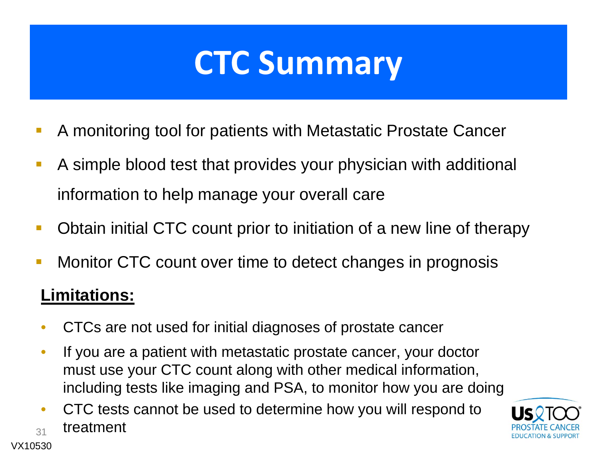### **CTC Summary**

- $\mathbb{R}^3$ A monitoring tool for patients with Metastatic Prostate Cancer
- $\mathbb{R}^3$  A simple blood test that provides your physician with additional information to help manage your overall care
- $\mathbb{R}^3$ Obtain initial CTC count prior to initiation of a new line of therapy
- T. Monitor CTC count over time to detect changes in prognosis

#### **Limitations:**

- •CTCs are not used for initial diagnoses of prostate cancer
- $\bullet$  If you are a patient with metastatic prostate cancer, your doctor must use your CTC count along with other medical information, including tests like imaging and PSA, to monitor how you are doing
- 31• CTC tests cannot be used to determine how you will respond to treatment

![](_page_30_Picture_9.jpeg)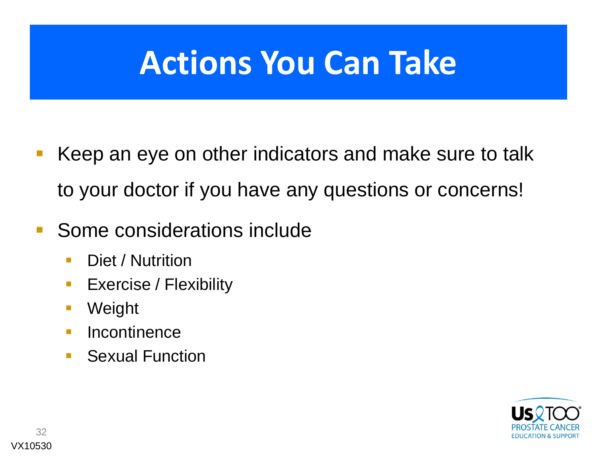## **Actions You Can Take**

- $\mathbb{R}^3$  Keep an eye on other indicators and make sure to talk to your doctor if you have any questions or concerns!
- $\overline{\phantom{a}}$  Some considerations include
	- $\mathbb{R}^3$ Diet / Nutrition
	- $\mathcal{L}_{\mathcal{A}}$ Exercise / Flexibility
	- $\mathbb{R}^2$ Weight
	- $\overline{\phantom{a}}$ **Incontinence**
	- $\mathbb{R}^n$ Sexual Function

![](_page_31_Picture_8.jpeg)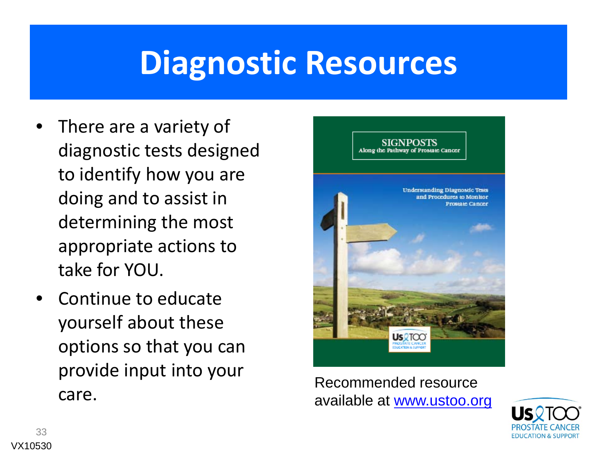### **Diagnostic Resources**

- •• There are a variety of diagnostic tests designed to identify how you are doing and to assist in determining the most appropriate actions to take for YOU.
- •**•** Continue to educate yourself about these options so that you can provide input into your care.

![](_page_32_Picture_3.jpeg)

Recommended resource available at <u>www.ustoo.org</u> Care. <br>33<br>VX10530

![](_page_32_Picture_5.jpeg)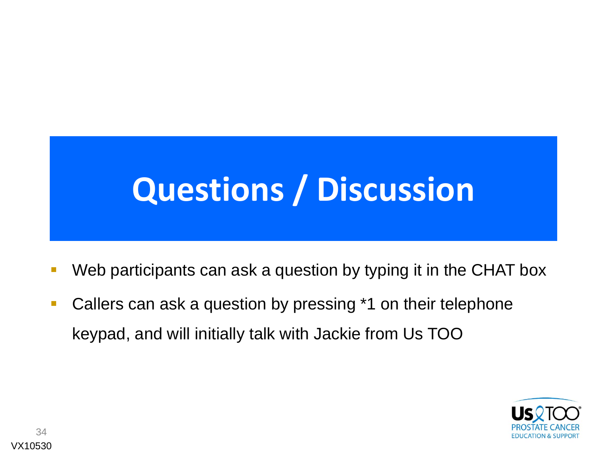# **Questions / Discussion**

- $\overline{\phantom{a}}$ Web participants can ask a question by typing it in the CHAT box
- $\overline{\phantom{a}}$  Callers can ask a question by pressing \*1 on their telephone keypad, and will initially talk with Jackie from Us TOO

![](_page_33_Picture_3.jpeg)